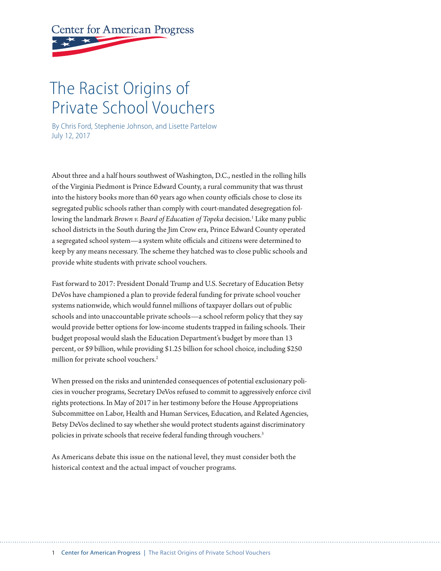# **Center for American Progress**

# The Racist Origins of Private School Vouchers

By Chris Ford, Stephenie Johnson, and Lisette Partelow July 12, 2017

About three and a half hours southwest of Washington, D.C., nestled in the rolling hills of the Virginia Piedmont is Prince Edward County, a rural community that was thrust into the history books more than 60 years ago when county officials chose to close its segregated public schools rather than comply with court-mandated desegregation following the landmark *Brown v. Board of Education of Topeka* decision.<sup>1</sup> Like many public school districts in the South during the Jim Crow era, Prince Edward County operated a segregated school system—a system white officials and citizens were determined to keep by any means necessary. The scheme they hatched was to close public schools and provide white students with private school vouchers.

Fast forward to 2017: President Donald Trump and U.S. Secretary of Education Betsy DeVos have championed a plan to provide federal funding for private school voucher systems nationwide, which would funnel millions of taxpayer dollars out of public schools and into unaccountable private schools—a school reform policy that they say would provide better options for low-income students trapped in failing schools. Their budget proposal would slash the Education Department's budget by more than 13 percent, or \$9 billion, while providing \$1.25 billion for school choice, including \$250 million for private school vouchers.<sup>2</sup>

When pressed on the risks and unintended consequences of potential exclusionary policies in voucher programs, Secretary DeVos refused to commit to aggressively enforce civil rights protections. In May of 2017 in her testimony before the House Appropriations Subcommitee on Labor, Health and Human Services, Education, and Related Agencies, Betsy DeVos declined to say whether she would protect students against discriminatory policies in private schools that receive federal funding through vouchers.<sup>3</sup>

As Americans debate this issue on the national level, they must consider both the historical context and the actual impact of voucher programs.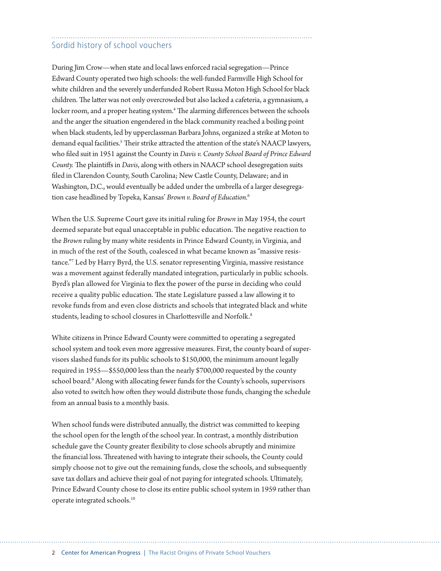### Sordid history of school vouchers

During Jim Crow—when state and local laws enforced racial segregation—Prince Edward County operated two high schools: the well-funded Farmville High School for white children and the severely underfunded Robert Russa Moton High School for black children. The latter was not only overcrowded but also lacked a cafeteria, a gymnasium, a locker room, and a proper heating system.<sup>4</sup> The alarming differences between the schools and the anger the situation engendered in the black community reached a boiling point when black students, led by upperclassman Barbara Johns, organized a strike at Moton to demand equal facilities.<sup>5</sup> Their strike attracted the attention of the state's NAACP lawyers, who fled suit in 1951 against the County in *Davis v. County School Board of Prince Edward County.* The plaintiffs in *Davis*, along with others in NAACP school desegregation suits fled in Clarendon County, South Carolina; New Castle County, Delaware; and in Washington, D.C., would eventually be added under the umbrella of a larger desegregation case headlined by Topeka, Kansas' *Brown v. Board of Education.*<sup>6</sup>

When the U.S. Supreme Court gave its initial ruling for *Brown* in May 1954, the court deemed separate but equal unacceptable in public education. The negative reaction to the *Brown* ruling by many white residents in Prince Edward County, in Virginia, and in much of the rest of the South, coalesced in what became known as "massive resistance."7 Led by Harry Byrd, the U.S. senator representing Virginia, massive resistance was a movement against federally mandated integration, particularly in public schools. Byrd's plan allowed for Virginia to flex the power of the purse in deciding who could receive a quality public education. The state Legislature passed a law allowing it to revoke funds from and even close districts and schools that integrated black and white students, leading to school closures in Charlottesville and Norfolk.<sup>8</sup>

White citizens in Prince Edward County were commited to operating a segregated school system and took even more aggressive measures. First, the county board of supervisors slashed funds for its public schools to \$150,000, the minimum amount legally required in 1955—\$550,000 less than the nearly \$700,000 requested by the county school board.<sup>9</sup> Along with allocating fewer funds for the County's schools, supervisors also voted to switch how often they would distribute those funds, changing the schedule from an annual basis to a monthly basis.

When school funds were distributed annually, the district was commited to keeping the school open for the length of the school year. In contrast, a monthly distribution schedule gave the County greater fexibility to close schools abruptly and minimize the financial loss. Threatened with having to integrate their schools, the County could simply choose not to give out the remaining funds, close the schools, and subsequently save tax dollars and achieve their goal of not paying for integrated schools. Ultimately, Prince Edward County chose to close its entire public school system in 1959 rather than operate integrated schools.10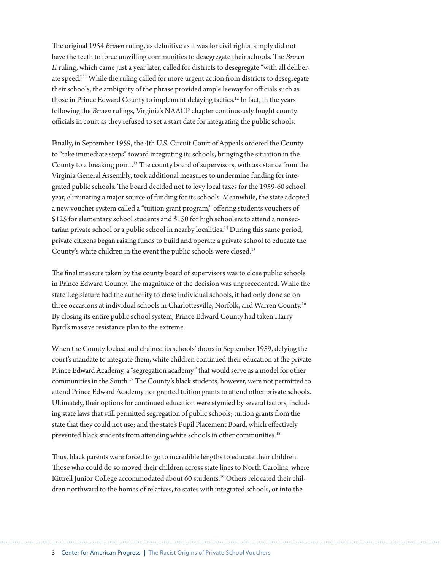The original 1954 *Brown* ruling, as definitive as it was for civil rights, simply did not have the teeth to force unwilling communities to desegregate their schools. The *Brown II* ruling, which came just a year later, called for districts to desegregate "with all deliberate speed."11 While the ruling called for more urgent action from districts to desegregate their schools, the ambiguity of the phrase provided ample leeway for officials such as those in Prince Edward County to implement delaying tactics.12 In fact, in the years following the *Brown* rulings, Virginia's NAACP chapter continuously fought county officials in court as they refused to set a start date for integrating the public schools.

Finally, in September 1959, the 4th U.S. Circuit Court of Appeals ordered the County to "take immediate steps" toward integrating its schools, bringing the situation in the County to a breaking point.<sup>13</sup> The county board of supervisors, with assistance from the Virginia General Assembly, took additional measures to undermine funding for integrated public schools. The board decided not to levy local taxes for the 1959-60 school year, eliminating a major source of funding for its schools. Meanwhile, the state adopted a new voucher system called a "tuition grant program," ofering students vouchers of \$125 for elementary school students and \$150 for high schoolers to atend a nonsectarian private school or a public school in nearby localities.<sup>14</sup> During this same period, private citizens began raising funds to build and operate a private school to educate the County's white children in the event the public schools were closed.15

The final measure taken by the county board of supervisors was to close public schools in Prince Edward County. The magnitude of the decision was unprecedented. While the state Legislature had the authority to close individual schools, it had only done so on three occasions at individual schools in Charlottesville, Norfolk, and Warren County.<sup>16</sup> By closing its entire public school system, Prince Edward County had taken Harry Byrd's massive resistance plan to the extreme.

When the County locked and chained its schools' doors in September 1959, defying the court's mandate to integrate them, white children continued their education at the private Prince Edward Academy, a "segregation academy" that would serve as a model for other communities in the South.<sup>17</sup> The County's black students, however, were not permitted to atend Prince Edward Academy nor granted tuition grants to atend other private schools. Ultimately, their options for continued education were stymied by several factors, including state laws that still permited segregation of public schools; tuition grants from the state that they could not use; and the state's Pupil Placement Board, which efectively prevented black students from attending white schools in other communities.<sup>18</sup>

Thus, black parents were forced to go to incredible lengths to educate their children. Those who could do so moved their children across state lines to North Carolina, where Kitrell Junior College accommodated about 60 students.19 Others relocated their children northward to the homes of relatives, to states with integrated schools, or into the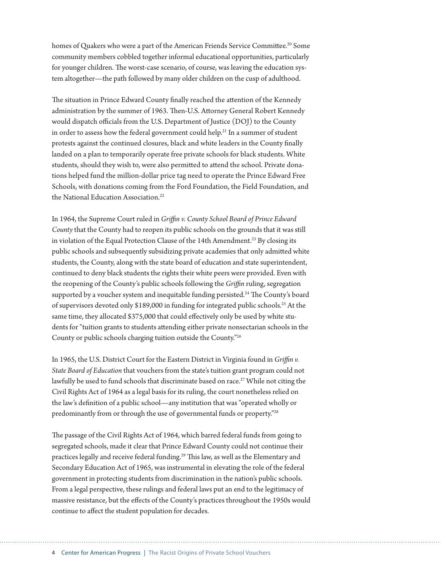homes of Quakers who were a part of the American Friends Service Committee.<sup>20</sup> Some community members cobbled together informal educational opportunities, particularly for younger children. The worst-case scenario, of course, was leaving the education system altogether—the path followed by many older children on the cusp of adulthood.

The situation in Prince Edward County finally reached the attention of the Kennedy administration by the summer of 1963. Then-U.S. Attorney General Robert Kennedy would dispatch officials from the U.S. Department of Justice (DOJ) to the County in order to assess how the federal government could help.<sup>21</sup> In a summer of student protests against the continued closures, black and white leaders in the County fnally landed on a plan to temporarily operate free private schools for black students. White students, should they wish to, were also permited to atend the school. Private donations helped fund the million-dollar price tag need to operate the Prince Edward Free Schools, with donations coming from the Ford Foundation, the Field Foundation, and the National Education Association.<sup>22</sup>

In 1964, the Supreme Court ruled in *Grifn v. County School Board of Prince Edward County* that the County had to reopen its public schools on the grounds that it was still in violation of the Equal Protection Clause of the 14th Amendment.<sup>23</sup> By closing its public schools and subsequently subsidizing private academies that only admited white students, the County, along with the state board of education and state superintendent, continued to deny black students the rights their white peers were provided. Even with the reopening of the County's public schools following the *Grifn* ruling, segregation supported by a voucher system and inequitable funding persisted.<sup>24</sup> The County's board of supervisors devoted only \$189,000 in funding for integrated public schools.25 At the same time, they allocated \$375,000 that could efectively only be used by white students for "tuition grants to students atending either private nonsectarian schools in the County or public schools charging tuition outside the County."26

In 1965, the U.S. District Court for the Eastern District in Virginia found in *Grifn v. State Board of Education* that vouchers from the state's tuition grant program could not lawfully be used to fund schools that discriminate based on race.<sup>27</sup> While not citing the Civil Rights Act of 1964 as a legal basis for its ruling, the court nonetheless relied on the law's defnition of a public school—any institution that was "operated wholly or predominantly from or through the use of governmental funds or property."28

The passage of the Civil Rights Act of 1964, which barred federal funds from going to segregated schools, made it clear that Prince Edward County could not continue their practices legally and receive federal funding.<sup>29</sup> This law, as well as the Elementary and Secondary Education Act of 1965, was instrumental in elevating the role of the federal government in protecting students from discrimination in the nation's public schools. From a legal perspective, these rulings and federal laws put an end to the legitimacy of massive resistance, but the efects of the County's practices throughout the 1950s would continue to afect the student population for decades.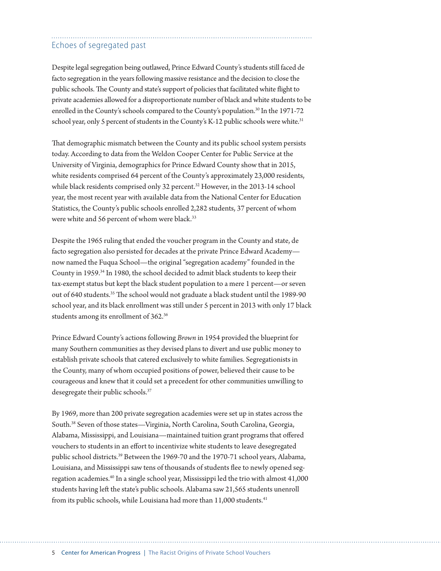#### Echoes of segregated past

Despite legal segregation being outlawed, Prince Edward County's students still faced de facto segregation in the years following massive resistance and the decision to close the public schools. The County and state's support of policies that facilitated white flight to private academies allowed for a disproportionate number of black and white students to be enrolled in the County's schools compared to the County's population.<sup>30</sup> In the 1971-72 school year, only 5 percent of students in the County's K-12 public schools were white.<sup>31</sup>

Tat demographic mismatch between the County and its public school system persists today. According to data from the Weldon Cooper Center for Public Service at the University of Virginia, demographics for Prince Edward County show that in 2015, white residents comprised 64 percent of the County's approximately 23,000 residents, while black residents comprised only 32 percent.<sup>32</sup> However, in the 2013-14 school year, the most recent year with available data from the National Center for Education Statistics, the County's public schools enrolled 2,282 students, 37 percent of whom were white and 56 percent of whom were black.<sup>33</sup>

Despite the 1965 ruling that ended the voucher program in the County and state, de facto segregation also persisted for decades at the private Prince Edward Academy now named the Fuqua School—the original "segregation academy" founded in the County in 1959.34 In 1980, the school decided to admit black students to keep their tax-exempt status but kept the black student population to a mere 1 percent—or seven out of 640 students.<sup>35</sup> The school would not graduate a black student until the 1989-90 school year, and its black enrollment was still under 5 percent in 2013 with only 17 black students among its enrollment of 362.36

Prince Edward County's actions following *Brown* in 1954 provided the blueprint for many Southern communities as they devised plans to divert and use public money to establish private schools that catered exclusively to white families. Segregationists in the County, many of whom occupied positions of power, believed their cause to be courageous and knew that it could set a precedent for other communities unwilling to desegregate their public schools.<sup>37</sup>

By 1969, more than 200 private segregation academies were set up in states across the South.38 Seven of those states—Virginia, North Carolina, South Carolina, Georgia, Alabama, Mississippi, and Louisiana—maintained tuition grant programs that ofered vouchers to students in an efort to incentivize white students to leave desegregated public school districts.39 Between the 1969-70 and the 1970-71 school years, Alabama, Louisiana, and Mississippi saw tens of thousands of students fee to newly opened segregation academies.40 In a single school year, Mississippi led the trio with almost 41,000 students having left the state's public schools. Alabama saw 21,565 students unenroll from its public schools, while Louisiana had more than 11,000 students.<sup>41</sup>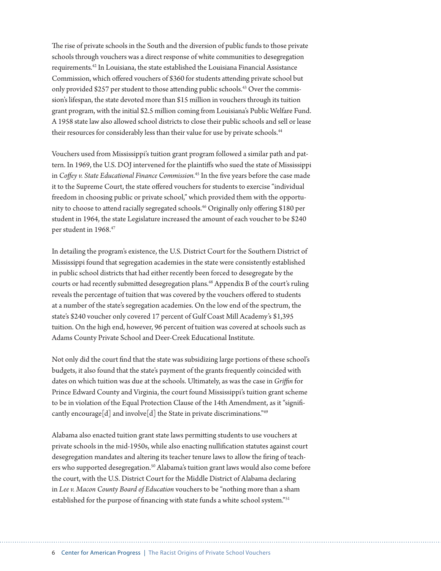The rise of private schools in the South and the diversion of public funds to those private schools through vouchers was a direct response of white communities to desegregation requirements.42 In Louisiana, the state established the Louisiana Financial Assistance Commission, which ofered vouchers of \$360 for students atending private school but only provided \$257 per student to those atending public schools.43 Over the commission's lifespan, the state devoted more than \$15 million in vouchers through its tuition grant program, with the initial \$2.5 million coming from Louisiana's Public Welfare Fund. A 1958 state law also allowed school districts to close their public schools and sell or lease their resources for considerably less than their value for use by private schools.<sup>44</sup>

Vouchers used from Mississippi's tuition grant program followed a similar path and pattern. In 1969, the U.S. DOJ intervened for the plaintifs who sued the state of Mississippi in *Cofey v. State Educational Finance Commission.*45 In the fve years before the case made it to the Supreme Court, the state offered vouchers for students to exercise "individual freedom in choosing public or private school," which provided them with the opportunity to choose to attend racially segregated schools.<sup>46</sup> Originally only offering \$180 per student in 1964, the state Legislature increased the amount of each voucher to be \$240 per student in 1968.<sup>47</sup>

In detailing the program's existence, the U.S. District Court for the Southern District of Mississippi found that segregation academies in the state were consistently established in public school districts that had either recently been forced to desegregate by the courts or had recently submited desegregation plans.48 Appendix B of the court's ruling reveals the percentage of tuition that was covered by the vouchers ofered to students at a number of the state's segregation academies. On the low end of the spectrum, the state's \$240 voucher only covered 17 percent of Gulf Coast Mill Academy's \$1,395 tuition. On the high end, however, 96 percent of tuition was covered at schools such as Adams County Private School and Deer-Creek Educational Institute.

Not only did the court fnd that the state was subsidizing large portions of these school's budgets, it also found that the state's payment of the grants frequently coincided with dates on which tuition was due at the schools. Ultimately, as was the case in *Grifn* for Prince Edward County and Virginia, the court found Mississippi's tuition grant scheme to be in violation of the Equal Protection Clause of the 14th Amendment, as it "signifcantly encourage[d] and involve[d] the State in private discriminations.<sup>"49</sup>

Alabama also enacted tuition grant state laws permiting students to use vouchers at private schools in the mid-1950s, while also enacting nullifcation statutes against court desegregation mandates and altering its teacher tenure laws to allow the fring of teachers who supported desegregation.<sup>50</sup> Alabama's tuition grant laws would also come before the court, with the U.S. District Court for the Middle District of Alabama declaring in *Lee v. Macon County Board of Education* vouchers to be "nothing more than a sham established for the purpose of fnancing with state funds a white school system."51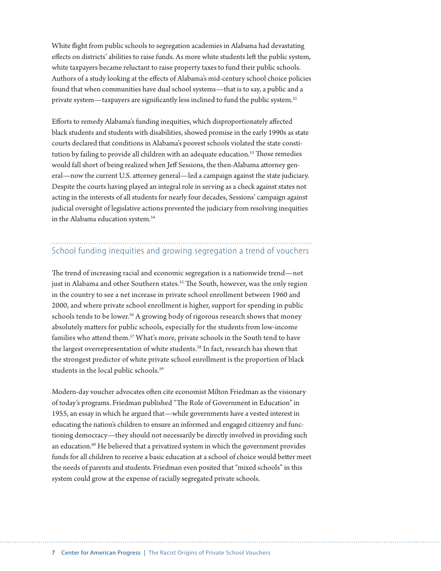White fight from public schools to segregation academies in Alabama had devastating efects on districts' abilities to raise funds. As more white students lef the public system, white taxpayers became reluctant to raise property taxes to fund their public schools. Authors of a study looking at the efects of Alabama's mid-century school choice policies found that when communities have dual school systems—that is to say, a public and a private system—taxpayers are significantly less inclined to fund the public system.<sup>52</sup>

Eforts to remedy Alabama's funding inequities, which disproportionately afected black students and students with disabilities, showed promise in the early 1990s as state courts declared that conditions in Alabama's poorest schools violated the state constitution by failing to provide all children with an adequate education.<sup>53</sup> Those remedies would fall short of being realized when Jeff Sessions, the then-Alabama attorney general—now the current U.S. atorney general—led a campaign against the state judiciary. Despite the courts having played an integral role in serving as a check against states not acting in the interests of all students for nearly four decades, Sessions' campaign against judicial oversight of legislative actions prevented the judiciary from resolving inequities in the Alabama education system.<sup>54</sup>

## School funding inequities and growing segregation a trend of vouchers

The trend of increasing racial and economic segregation is a nationwide trend—not just in Alabama and other Southern states.<sup>55</sup> The South, however, was the only region in the country to see a net increase in private school enrollment between 1960 and 2000, and where private school enrollment is higher, support for spending in public schools tends to be lower.<sup>56</sup> A growing body of rigorous research shows that money absolutely maters for public schools, especially for the students from low-income families who attend them.<sup>57</sup> What's more, private schools in the South tend to have the largest overrepresentation of white students.<sup>58</sup> In fact, research has shown that the strongest predictor of white private school enrollment is the proportion of black students in the local public schools.<sup>59</sup>

Modern-day voucher advocates ofen cite economist Milton Friedman as the visionary of today's programs. Friedman published "The Role of Government in Education" in 1955, an essay in which he argued that—while governments have a vested interest in educating the nation's children to ensure an informed and engaged citizenry and functioning democracy—they should not necessarily be directly involved in providing such an education.<sup>60</sup> He believed that a privatized system in which the government provides funds for all children to receive a basic education at a school of choice would beter meet the needs of parents and students. Friedman even posited that "mixed schools" in this system could grow at the expense of racially segregated private schools.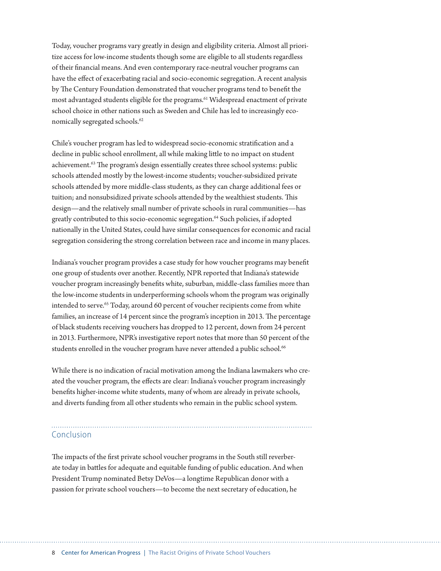Today, voucher programs vary greatly in design and eligibility criteria. Almost all prioritize access for low-income students though some are eligible to all students regardless of their fnancial means. And even contemporary race-neutral voucher programs can have the efect of exacerbating racial and socio-economic segregation. A recent analysis by The Century Foundation demonstrated that voucher programs tend to benefit the most advantaged students eligible for the programs.<sup>61</sup> Widespread enactment of private school choice in other nations such as Sweden and Chile has led to increasingly economically segregated schools.<sup>62</sup>

Chile's voucher program has led to widespread socio-economic stratifcation and a decline in public school enrollment, all while making litle to no impact on student achievement.<sup>63</sup> The program's design essentially creates three school systems: public schools atended mostly by the lowest-income students; voucher-subsidized private schools atended by more middle-class students, as they can charge additional fees or tuition; and nonsubsidized private schools attended by the wealthiest students. This design—and the relatively small number of private schools in rural communities—has greatly contributed to this socio-economic segregation.<sup>64</sup> Such policies, if adopted nationally in the United States, could have similar consequences for economic and racial segregation considering the strong correlation between race and income in many places.

Indiana's voucher program provides a case study for how voucher programs may beneft one group of students over another. Recently, NPR reported that Indiana's statewide voucher program increasingly benefts white, suburban, middle-class families more than the low-income students in underperforming schools whom the program was originally intended to serve.<sup>65</sup> Today, around 60 percent of voucher recipients come from white families, an increase of 14 percent since the program's inception in 2013. The percentage of black students receiving vouchers has dropped to 12 percent, down from 24 percent in 2013. Furthermore, NPR's investigative report notes that more than 50 percent of the students enrolled in the voucher program have never attended a public school.<sup>66</sup>

While there is no indication of racial motivation among the Indiana lawmakers who created the voucher program, the efects are clear: Indiana's voucher program increasingly benefts higher-income white students, many of whom are already in private schools, and diverts funding from all other students who remain in the public school system.

#### Conclusion

The impacts of the first private school voucher programs in the South still reverberate today in battles for adequate and equitable funding of public education. And when President Trump nominated Betsy DeVos—a longtime Republican donor with a passion for private school vouchers—to become the next secretary of education, he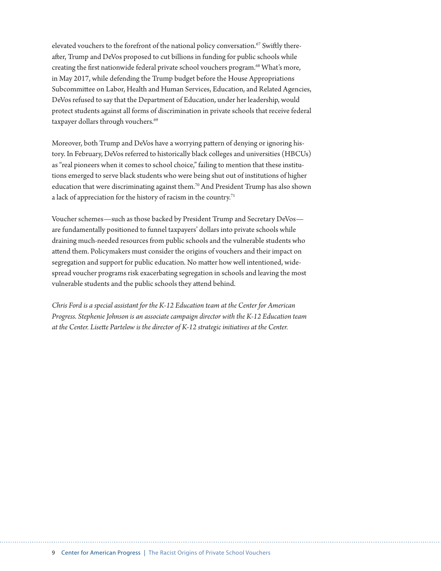elevated vouchers to the forefront of the national policy conversation.<sup>67</sup> Swiftly thereafer, Trump and DeVos proposed to cut billions in funding for public schools while creating the first nationwide federal private school vouchers program.<sup>68</sup> What's more, in May 2017, while defending the Trump budget before the House Appropriations Subcommitee on Labor, Health and Human Services, Education, and Related Agencies, DeVos refused to say that the Department of Education, under her leadership, would protect students against all forms of discrimination in private schools that receive federal taxpayer dollars through vouchers.<sup>69</sup>

Moreover, both Trump and DeVos have a worrying patern of denying or ignoring history. In February, DeVos referred to historically black colleges and universities (HBCUs) as "real pioneers when it comes to school choice," failing to mention that these institutions emerged to serve black students who were being shut out of institutions of higher education that were discriminating against them.70 And President Trump has also shown a lack of appreciation for the history of racism in the country.<sup>71</sup>

Voucher schemes—such as those backed by President Trump and Secretary DeVos are fundamentally positioned to funnel taxpayers' dollars into private schools while draining much-needed resources from public schools and the vulnerable students who atend them. Policymakers must consider the origins of vouchers and their impact on segregation and support for public education. No mater how well intentioned, widespread voucher programs risk exacerbating segregation in schools and leaving the most vulnerable students and the public schools they atend behind.

*Chris Ford is a special assistant for the K-12 Education team at the Center for American Progress. Stephenie Johnson is an associate campaign director with the K-12 Education team at the Center. Lisete Partelow is the director of K-12 strategic initiatives at the Center.*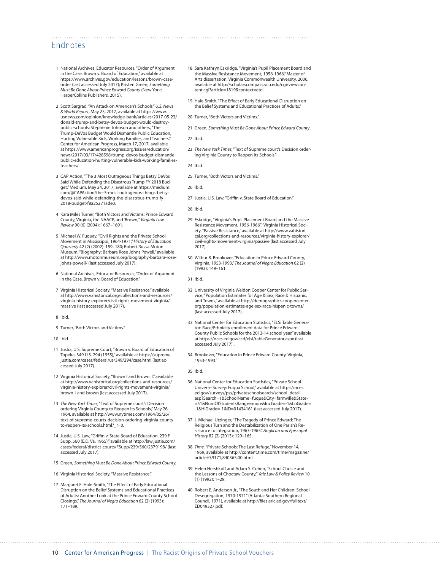#### Endnotes

- 1 National Archives, Educator Resources, "Order of Argument in the Case, Brown v. Board of Education," available at [https://www.archives.gov/education/lessons/brown-case](https://www.archives.gov/education/lessons/brown-case-order)[order](https://www.archives.gov/education/lessons/brown-case-order) (last accessed July 2017); Kristen Green, *Something Must Be Done About Prince Edward County* (New York: HarperCollins Publishers, 2015).
- 2 Scott Sargrad, "An Attack on American's Schools," *U.S. News & World Report*, May 23, 2017, available at [https://www.](https://www.usnews.com/opinion/knowledge-bank/articles/2017-05-23/donald-trump-and-betsy-devos-budget-would-destroy-public-schools) [usnews.com/opinion/knowledge-bank/articles/2017-05-23/](https://www.usnews.com/opinion/knowledge-bank/articles/2017-05-23/donald-trump-and-betsy-devos-budget-would-destroy-public-schools) [donald-trump-and-betsy-devos-budget-would-destroy](https://www.usnews.com/opinion/knowledge-bank/articles/2017-05-23/donald-trump-and-betsy-devos-budget-would-destroy-public-schools)[public-schools](https://www.usnews.com/opinion/knowledge-bank/articles/2017-05-23/donald-trump-and-betsy-devos-budget-would-destroy-public-schools); Stephenie Johnson and others, "The Trump-DeVos Budget Would Dismantle Public Education, Hurting Vulnerable Kids, Working Families, and Teachers," Center for American Progress, March 17, 2017, available at [https://www.americanprogress.org/issues/education/](https://www.americanprogress.org/issues/education/news/2017/03/17/428598/trump-devos-budget-dismantle-public-education-hurting-vulnerable-kids-working-families-teachers/) [news/2017/03/17/428598/trump-devos-budget-dismantle](https://www.americanprogress.org/issues/education/news/2017/03/17/428598/trump-devos-budget-dismantle-public-education-hurting-vulnerable-kids-working-families-teachers/)[public-education-hurting-vulnerable-kids-working-families](https://www.americanprogress.org/issues/education/news/2017/03/17/428598/trump-devos-budget-dismantle-public-education-hurting-vulnerable-kids-working-families-teachers/).<br>[teachers/](https://www.americanprogress.org/issues/education/news/2017/03/17/428598/trump-devos-budget-dismantle-public-education-hurting-vulnerable-kids-working-families-teachers/).
- 3 CAP Action, "The 3 Most Outrageous Things Betsy DeVos Said While Defending the Disastrous Trump FY 2018 Bud-get," Medium, May 24, 2017, available at [https://medium.](https://medium.com/@CAPAction/the-3-most-outrageous-things-betsy-devos-said-while-defending-the-disastrous-trump-fy-2018-budget-f8a25271ade0) [com/@CAPAction/the-3-most-outrageous-things-betsy](https://medium.com/@CAPAction/the-3-most-outrageous-things-betsy-devos-said-while-defending-the-disastrous-trump-fy-2018-budget-f8a25271ade0)[devos-said-while-defending-the-disastrous-trump-fy-](https://medium.com/@CAPAction/the-3-most-outrageous-things-betsy-devos-said-while-defending-the-disastrous-trump-fy-2018-budget-f8a25271ade0)[2018-budget-f8a25271ade0.](https://medium.com/@CAPAction/the-3-most-outrageous-things-betsy-devos-said-while-defending-the-disastrous-trump-fy-2018-budget-f8a25271ade0)
- 4 Kara Miles Turner, "Both Victors and Victims: Prince Edward County, Virginia, the NAACP, and 'Brown,'" *Virginia Law Review* 90 (6) (2004): 1667–1691.
- 5 Michael W. Fuquay, "Civil Rights and the Private School Movement in Mississippi, 1964-1971," *History of Education Quarterly* 42 (2) (2002): 159–180; Robert Russa Moton Museum, "Biography: Barbara Rose Johns Powell," available at [http://www.motonmuseum.org/biography-barbara-rose](http://www.motonmuseum.org/biography-barbara-rose-johns-powell/)[johns-powell/](http://www.motonmuseum.org/biography-barbara-rose-johns-powell/) (last accessed July 2017).
- 6 National Archives, Educator Resources, "Order of Argument in the Case, Brown v. Board of Education."
- 7 Virginia Historical Society, "Massive Resistance," available at [http://www.vahistorical.org/collections-and-resources/](http://www.vahistorical.org/collections-and-resources/virginia-history-explorer/civil-rights-movement-virginia/massive) [virginia-history-explorer/civil-rights-movement-virginia/](http://www.vahistorical.org/collections-and-resources/virginia-history-explorer/civil-rights-movement-virginia/massive) [massive](http://www.vahistorical.org/collections-and-resources/virginia-history-explorer/civil-rights-movement-virginia/massive) (last accessed July 2017).
- 8 Ibid.
- 9 Turner, "Both Victors and Victims."
- 10 Ibid.
- 11 Justia, U.S. Supreme Court, "Brown v. Board of Education of Topeka, 349 U.S. 294 (1955)," available at [https://supreme.](https://supreme.justia.com/cases/federal/us/349/294/case.html) [justia.com/cases/federal/us/349/294/case.html](https://supreme.justia.com/cases/federal/us/349/294/case.html) (last accessed July 2017).
- 12 Virginia Historical Society, "Brown I and Brown II," available at [http://www.vahistorical.org/collections-and-resources/](http://www.vahistorical.org/collections-and-resources/virginia-history-explorer/civil-rights-movement-virginia/brown-i-and-brown) [virginia-history-explorer/civil-rights-movement-virginia/](http://www.vahistorical.org/collections-and-resources/virginia-history-explorer/civil-rights-movement-virginia/brown-i-and-brown) [brown-i-and-brown](http://www.vahistorical.org/collections-and-resources/virginia-history-explorer/civil-rights-movement-virginia/brown-i-and-brown) (last accessed July 2017).
- 13 *The New York Times*, "Text of Supreme court's Decision ordering Virginia County to Reopen Its Schools," May 26, 1964, available at [http://www.nytimes.com/1964/05/26/](http://www.nytimes.com/1964/05/26/text-of-supreme-courts-decision-ordering-virginia-county-to-reopen-its-schools.html?_r=0) [text-of-supreme-courts-decision-ordering-virginia-county](http://www.nytimes.com/1964/05/26/text-of-supreme-courts-decision-ordering-virginia-county-to-reopen-its-schools.html?_r=0)[to-reopen-its-schools.html?\\_r=0](http://www.nytimes.com/1964/05/26/text-of-supreme-courts-decision-ordering-virginia-county-to-reopen-its-schools.html?_r=0).
- 14 Justia, U.S. Law, "Griffin v. State Board of Education, 239 F. Supp. 560 (E.D. Va. 1965)," available at [http://law.justia.com/](http://law.justia.com/cases/federal/district-courts/FSupp/239/560/2379198/) [cases/federal/district-courts/FSupp/239/560/2379198/](http://law.justia.com/cases/federal/district-courts/FSupp/239/560/2379198/) (last accessed July 2017).
- 15 Green, *Something Must Be Done About Prince Edward County.*
- 16 Virginia Historical Society, "Massive Resistance."
- 17 Margaret E. Hale-Smith, "The Efect of Early Educational Disruption on the Belief Systems and Educational Practices of Adults: Another Look at the Prince Edward County School Closings," *The Journal of Negro Education* 62 (2) (1993): 171–189.
- 18 Sara Kathryn Eskridge, "Virginia's Pupil Placement Board and the Massive Resistance Movement, 1956-1966," Master of Arts dissertation, Virginia Commonwealth University, 2006, available at [http://scholarscompass.vcu.edu/cgi/viewcon](http://scholarscompass.vcu.edu/cgi/viewcontent.cgi?article=1819&context=etd)[tent.cgi?article=1819&context=etd.](http://scholarscompass.vcu.edu/cgi/viewcontent.cgi?article=1819&context=etd)
- 19 Hale-Smith, "The Efect of Early Educational Disruption on the Belief Systems and Educational Practices of Adults."
- 20 Turner, "Both Victors and Victims."
- 21 Green, *Something Must Be Done About Prince Edward County*.
- 22 Ibid.

- 23 *The New York Times*, "Text of Supreme court's Decision ordering Virginia County to Reopen Its Schools."
- 24 Ibid.
- 25 Turner, "Both Victors and Victims."

26 Ibid.

- 27 Justia, U.S. Law, "Griffin v. State Board of Education."
- 28 Ibid.
- 29 Eskridge, "Virginia's Pupil Placement Board and the Massive Resistance Movement, 1956-1966"; Virginia Historical Society, "Passive Resistance," available at [http://www.vahistori](http://www.vahistorical.org/collections-and-resources/virginia-history-explorer/civil-rights-movement-virginia/passive)[cal.org/collections-and-resources/virginia-history-explorer/](http://www.vahistorical.org/collections-and-resources/virginia-history-explorer/civil-rights-movement-virginia/passive) [civil-rights-movement-virginia/passive](http://www.vahistorical.org/collections-and-resources/virginia-history-explorer/civil-rights-movement-virginia/passive) (last accessed July 2017).
- 30 Wilbur B. Brookover, "Education in Prince Edward County, Virginia, 1953-1993," *The Journal of Negro Education* 62 (2) (1993): 149–161.
- 31 Ibid.
- 32 University of Virginia Weldon Cooper Center for Public Service, "Population Estimates for Age & Sex, Race & Hispanic, and Towns," available at [http://demographics.coopercenter.](http://demographics.coopercenter.org/population-estimates-age-sex-race-hispanic-towns/) [org/population-estimates-age-sex-race-hispanic-towns/](http://demographics.coopercenter.org/population-estimates-age-sex-race-hispanic-towns/) (last accessed July 2017).
- 33 National Center for Education Statistics, "ELSi Table Generator: Race/Ethnicity enrollment data for Prince Edward County Public Schools for the 2013-14 school year," available at<https://nces.ed.gov/ccd/elsi/tableGenerator.aspx> (last accessed July 2017) .
- 34 Brookover, "Education in Prince Edward County, Virginia, 1953-1993."
- 35 Ibid.
- 36 National Center for Education Statistics, "Private School Universe Survey: Fuqua School," available at [https://nces.](https://nces.ed.gov/surveys/pss/privateschoolsearch/school_detail.asp?Search=1&SchoolName=fuqua&City=farmville&State=51&NumOfStudentsRange=more&IncGrade=-1&LoGrade=-1&HiGrade=-1&ID=01434161) [ed.gov/surveys/pss/privateschoolsearch/school\\_detail.](https://nces.ed.gov/surveys/pss/privateschoolsearch/school_detail.asp?Search=1&SchoolName=fuqua&City=farmville&State=51&NumOfStudentsRange=more&IncGrade=-1&LoGrade=-1&HiGrade=-1&ID=01434161) [asp?Search=1&SchoolName=fuqua&City=farmville&State-](https://nces.ed.gov/surveys/pss/privateschoolsearch/school_detail.asp?Search=1&SchoolName=fuqua&City=farmville&State=51&NumOfStudentsRange=more&IncGrade=-1&LoGrade=-1&HiGrade=-1&ID=01434161) [=51&NumOfStudentsRange=more&IncGrade=-1&LoGrade=](https://nces.ed.gov/surveys/pss/privateschoolsearch/school_detail.asp?Search=1&SchoolName=fuqua&City=farmville&State=51&NumOfStudentsRange=more&IncGrade=-1&LoGrade=-1&HiGrade=-1&ID=01434161) [-1&HiGrade=-1&ID=01434161](https://nces.ed.gov/surveys/pss/privateschoolsearch/school_detail.asp?Search=1&SchoolName=fuqua&City=farmville&State=51&NumOfStudentsRange=more&IncGrade=-1&LoGrade=-1&HiGrade=-1&ID=01434161) (last accessed July 2017).
- 37 J. Michael Utzinger, "The Tragedy of Prince Edward: The Religious Turn and the Destabilization of One Parish's Resistance to Integration, 1963-1965," *Anglican and Episcopal History* 82 (2) (2013): 129–165.
- 38 *Time,* "Private Schools: The Last Refuge," November 14, 1969, available at [http://content.time.com/time/magazine/](http://content.time.com/time/magazine/article/0,9171,840365,00.html) [article/0,9171,840365,00.html.](http://content.time.com/time/magazine/article/0,9171,840365,00.html)
- 39 Helen Hershkoff and Adam S. Cohen, "School Choice and the Lessons of Choctaw County," *Yale Law & Policy Review* 10 (1) (1992): 1–29.
- 40 Robert E. Anderson Jr., "The South and Her Children: School Desegregation, 1970-1971" (Atlanta: Southern Regional Council, 1971), available at http://f[les.eric.ed.gov/fulltext/](http://files.eric.ed.gov/fulltext/ED049327.pdf) [ED049327.pdf](http://files.eric.ed.gov/fulltext/ED049327.pdf).